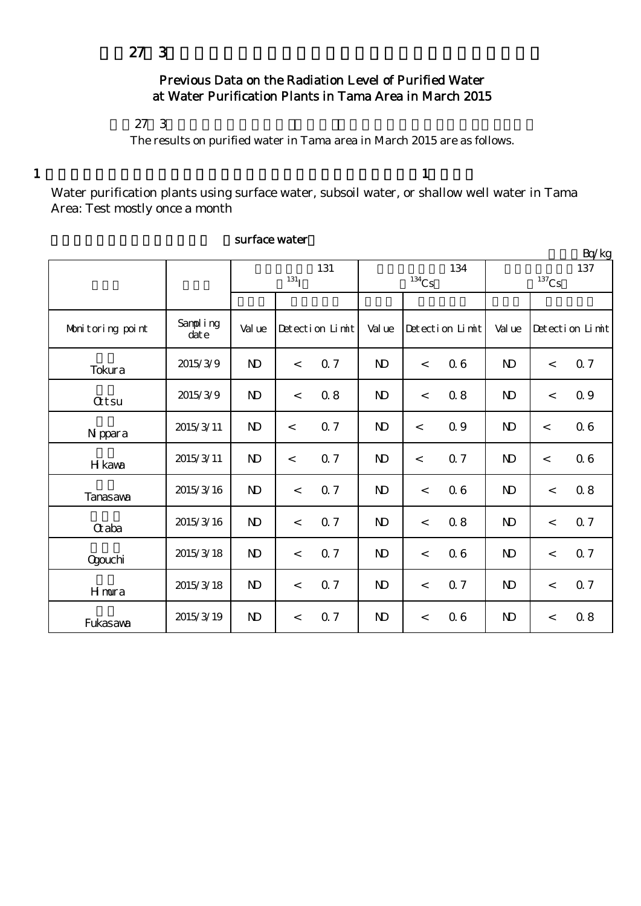# Previous Data on the Radiation Level of Purified Water at Water Purification Plants in Tama Area in March 2015

## $27 \t3$

The results on purified water in Tama area in March 2015 are as follows.

 $1$  and  $1$ 

Water purification plants using surface water, subsoil water, or shallow well water in Tama Area: Test mostly once a month

|                  |                                    |              |            |                 |                     |       |                 |                |                          | Bq/kg           |
|------------------|------------------------------------|--------------|------------|-----------------|---------------------|-------|-----------------|----------------|--------------------------|-----------------|
|                  |                                    | 131          |            |                 |                     |       | 134             | 137            |                          |                 |
|                  |                                    |              | $^{131}$ I |                 | $^{134}\mathrm{Cs}$ |       |                 | $137$ Cs       |                          |                 |
|                  |                                    |              |            |                 |                     |       |                 |                |                          |                 |
| Monitoring point | Sampling<br>$\dot{\mathrm{dat}}$ e | Val ue       |            | Detection Limit | Val ue              |       | Detection Limit | Val ue         |                          | Detection Limit |
| Tokura           | 2015/3/9                           | $\mathbf{D}$ | $\lt$      | 0.7             | $\mathbf{D}$        | $\lt$ | 06              | N <sub>D</sub> | $\overline{\phantom{a}}$ | 0.7             |
| <b>Qtsu</b>      | 2015/3/9                           | $\mathbf{D}$ | $\lt$      | 0.8             | $\mathbf{D}$        | $\lt$ | 0.8             | N <sub>D</sub> | $\overline{\phantom{a}}$ | Q 9             |
| N ppara          | 2015/3/11                          | $\mathbf{D}$ | $\lt$      | 0.7             | $\mathbf{D}$        | $\lt$ | Q 9             | N <sub>D</sub> | $\lt$                    | 06              |
| H kawa           | 2015/3/11                          | $\mathbf{D}$ | $\lt$      | 0.7             | $\mathbf{D}$        | $\lt$ | 0.7             | $\mathbf{N}$   | $\lt$                    | 0.6             |
| <b>Tanasaya</b>  | 2015/3/16                          | $\mathbf{D}$ | $\lt$      | 0.7             | $\mathbf{D}$        | $\,<$ | 06              | N <sub>D</sub> | $\lt$                    | 0.8             |
| Craba            | 2015/3/16                          | $\mathbf{D}$ | $\,<$      | 0.7             | $\mathbf{D}$        | $\lt$ | 0.8             | $\mathbf{D}$   | $\overline{\phantom{a}}$ | 0.7             |
| <b>Ogouchi</b>   | 2015/3/18                          | $\mathbf{D}$ | $\,<\,$    | 0.7             | $\mathbf{D}$        | $\,<$ | 06              | N <sub>D</sub> | $\lt$                    | 0.7             |
| Hmura            | 2015/3/18                          | $\mathbf{N}$ | $\lt$      | 0.7             | $\mathbf{D}$        | $\lt$ | 0.7             | N <sub>D</sub> | $\lt$                    | 0.7             |
| Fukasawa         | 2015/3/19                          | $\mathbf{D}$ | $\,<$      | 0.7             | N <sub>D</sub>      | $\,<$ | 06              | N <sub>D</sub> | $\,<$                    | 0.8             |

#### surface water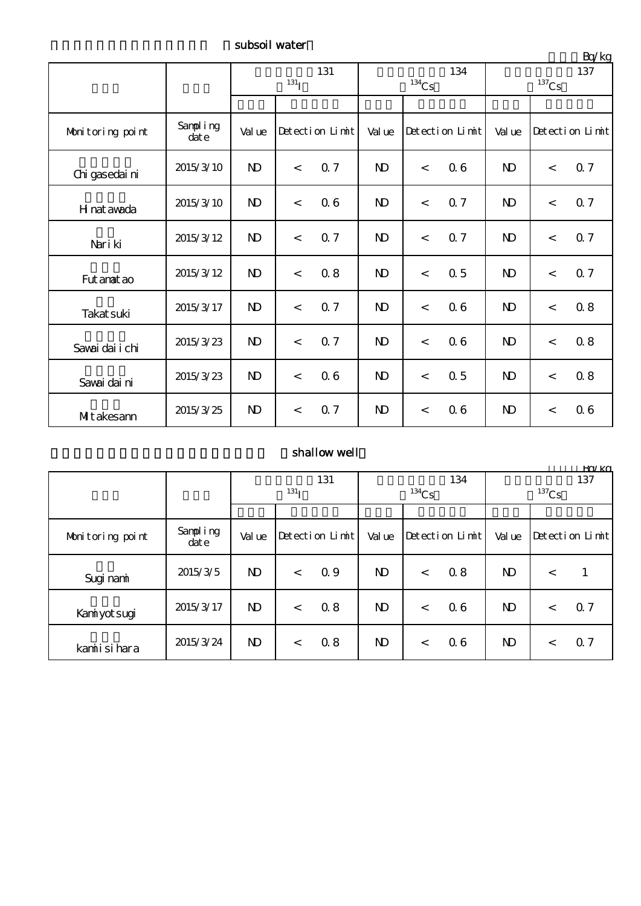subsoil water

|                  |                      |                |           |                 |                |       |                 |                     |         | Bq/kg           |  |
|------------------|----------------------|----------------|-----------|-----------------|----------------|-------|-----------------|---------------------|---------|-----------------|--|
|                  |                      | 131            |           |                 |                |       | 134             | 137                 |         |                 |  |
|                  |                      |                | $^{131}I$ |                 | $134$ Cs       |       |                 | $^{137}\mathrm{Cs}$ |         |                 |  |
|                  |                      |                |           |                 |                |       |                 |                     |         |                 |  |
| Monitoring point | Sampling<br>$\det e$ | Val ue         |           | Detection Limit | Val ue         |       | Detection Limit | Val ue              |         | Detection Limit |  |
| Chi gasedai ni   | 2015/3/10            | $\mathbf{D}$   | $\lt$     | 0.7             | $\mathbf{D}$   | $\,<$ | 06              | $\mathbf{D}$        | $\lt$   | 0.7             |  |
| H nat awada      | 2015/3/10            | $\mathbf{D}$   | $\lt$     | 06              | $\mathbf{D}$   | $\,<$ | Q <sub>7</sub>  | N <sub>D</sub>      | $\lt$   | 0.7             |  |
| Nari ki          | 2015/3/12            | $\mathbf{D}$   | $\lt$     | Q <sub>7</sub>  | N <sub>D</sub> | $\,<$ | 0.7             | N <sub>D</sub>      | $\lt$   | 0.7             |  |
| Fut anat ao      | 2015/3/12            | $\mathbf{D}$   | $\lt$     | 0.8             | $\mathbf{D}$   | $\,<$ | 0.5             | N <sub>D</sub>      | $\,<$   | Q 7             |  |
| Takat suki       | 2015/3/17            | $\mathbf{D}$   | $\lt$     | 0.7             | N <sub>D</sub> | $\,<$ | 06              | N <sub>D</sub>      | $\lt$   | 0.8             |  |
| Savai dai i chi  | 2015/3/23            | $\mathbf{D}$   | $\lt$     | 0.7             | $\mathbf{D}$   | $\,<$ | 06              | $\mathbf{D}$        | $\,<\,$ | 0.8             |  |
| Savai dai ni     | 2015/3/23            | $\mathbf{D}$   | $\lt$     | 06              | $\mathbf{D}$   | $\,<$ | 0.5             | $\mathbf{D}$        | $\,<\,$ | 0.8             |  |
| MItakesann       | 2015/3/25            | N <sub>D</sub> | $\lt$     | 0.7             | N <sub>D</sub> | $\,<$ | 06              | N <sub>D</sub>      | $\,<$   | 06              |  |

### shallow well

|                  |                      |                  |       |                 |              |          |                 |                       |         | Ka/ko           |  |
|------------------|----------------------|------------------|-------|-----------------|--------------|----------|-----------------|-----------------------|---------|-----------------|--|
|                  |                      | 131              |       |                 | 134          |          |                 | 137                   |         |                 |  |
|                  |                      | 131 <sub>T</sub> |       |                 |              | $134$ Cs |                 | ${}^{137}\mathrm{Cs}$ |         |                 |  |
|                  |                      |                  |       |                 |              |          |                 |                       |         |                 |  |
| Monitoring point | Sampling<br>$\det e$ | Val ue           |       | Detection Limit | Val ue       |          | Detection Limit | Val ue                |         | Detection Limit |  |
| Sugi nami        | 2015/3/5             | ND.              | $\lt$ | 0.9             | $\mathbf{D}$ | $\lt$    | 0.8             | ND.                   | $\lt$   | 1               |  |
| Kaniyot sugi     | 2015/3/17            | ND.              | $\lt$ | 0.8             | $\mathbf{D}$ | $\,<\,$  | 06              | N <sub>D</sub>        | $\,<\,$ | 0.7             |  |
| kamiisi hara     | 2015/3/24            | ND.              | $\lt$ | 0.8             | $\mathbf{D}$ | $\,<\,$  | 06              | $\mathbf{D}$          | $\,<\,$ | 0.7             |  |